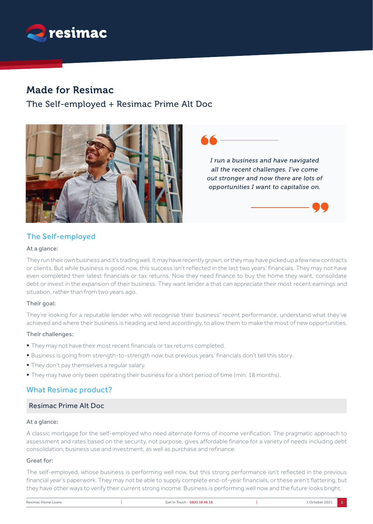

# Made for Resimac

The Self-employed + Resimac Prime Alt Doc



*I run a business and have navigated all the recent challenges. I've come out stronger and now there are lots of opportunities I want to capitalise on.*

# The Self-employed

## At a glance:

They run their own business and it's trading well. It may have recently grown, or they may have picked up a few new contracts or clients. But while business is good now, this success isn't reflected in the last two years' financials. They may not have even completed their latest financials or tax returns. Now they need finance to buy the home they want, consolidate debt or invest in the expansion of their business. They want lender a that can appreciate their most recent earnings and situation, rather than from two years ago.

## Their goal:

They're looking for a reputable lender who will recognise their business' recent performance, understand what they've achieved and where their business is heading and lend accordingly, to allow them to make the most of new opportunities.

## Their challenges:

- They may not have their most recent financials or tax returns completed.
- § Business is going from strength-to-strength now, but previous years' financials don't tell this story.
- § They don't pay themselves a regular salary.
- § They may have only been operating their business for a short period of time (min. 18 months).

## What Resimac product?

## Resimac Prime Alt Doc

#### At a glance:

A classic mortgage for the self-employed who need alternate forms of income verification. The pragmatic approach to assessment and rates based on the security, not purpose, gives affordable finance for a variety of needs including debt consolidation, business use and investment, as well as purchase and refinance.

## Great for:

The self-employed, whose business is performing well now, but this strong performance isn't reflected in the previous financial year's paperwork. They may not be able to supply complete end-of-year financials, or these aren't flattering, but they have other ways to verify their current strong income. Business is performing well now and the future looks bright.

| Resimac Home Loans | Touch - 0800 38 48 58<br>Get ir | 202<br>October |  |
|--------------------|---------------------------------|----------------|--|
|                    |                                 |                |  |